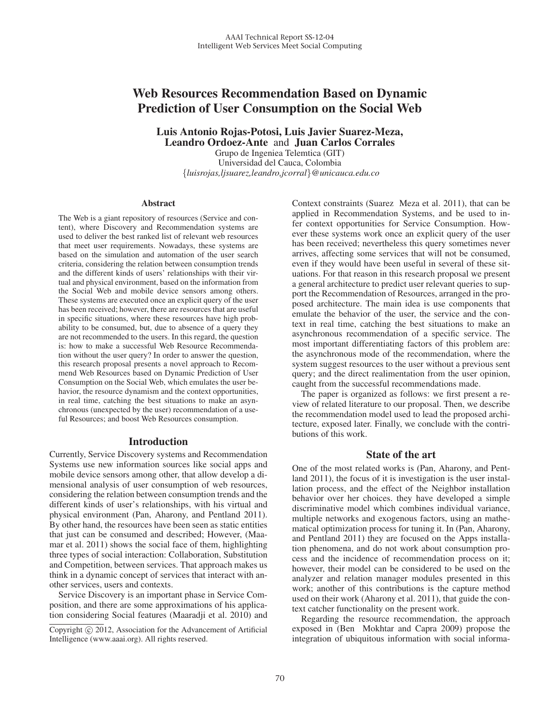# Web Resources Recommendation Based on Dynamic Prediction of User Consumption on the Social Web

Luis Antonio Rojas-Potosi, Luis Javier Suarez-Meza, Leandro Ordoez-Ante and Juan Carlos Corrales

Grupo de Ingeniea Telemtica (GIT) Universidad del Cauca, Colombia {*luisrojas,ljsuarez,leandro,jcorral*}*@unicauca.edu.co*

#### **Abstract**

The Web is a giant repository of resources (Service and content), where Discovery and Recommendation systems are used to deliver the best ranked list of relevant web resources that meet user requirements. Nowadays, these systems are based on the simulation and automation of the user search criteria, considering the relation between consumption trends and the different kinds of users' relationships with their virtual and physical environment, based on the information from the Social Web and mobile device sensors among others. These systems are executed once an explicit query of the user has been received; however, there are resources that are useful in specific situations, where these resources have high probability to be consumed, but, due to absence of a query they are not recommended to the users. In this regard, the question is: how to make a successful Web Resource Recommendation without the user query? In order to answer the question, this research proposal presents a novel approach to Recommend Web Resources based on Dynamic Prediction of User Consumption on the Social Web, which emulates the user behavior, the resource dynamism and the context opportunities, in real time, catching the best situations to make an asynchronous (unexpected by the user) recommendation of a useful Resources; and boost Web Resources consumption.

#### Introduction

Currently, Service Discovery systems and Recommendation Systems use new information sources like social apps and mobile device sensors among other, that allow develop a dimensional analysis of user consumption of web resources, considering the relation between consumption trends and the different kinds of user's relationships, with his virtual and physical environment (Pan, Aharony, and Pentland 2011). By other hand, the resources have been seen as static entities that just can be consumed and described; However, (Maamar et al. 2011) shows the social face of them, highlighting three types of social interaction: Collaboration, Substitution and Competition, between services. That approach makes us think in a dynamic concept of services that interact with another services, users and contexts.

Service Discovery is an important phase in Service Composition, and there are some approximations of his application considering Social features (Maaradji et al. 2010) and Context constraints (Suarez Meza et al. 2011), that can be applied in Recommendation Systems, and be used to infer context opportunities for Service Consumption. However these systems work once an explicit query of the user has been received; nevertheless this query sometimes never arrives, affecting some services that will not be consumed, even if they would have been useful in several of these situations. For that reason in this research proposal we present a general architecture to predict user relevant queries to support the Recommendation of Resources, arranged in the proposed architecture. The main idea is use components that emulate the behavior of the user, the service and the context in real time, catching the best situations to make an asynchronous recommendation of a specific service. The most important differentiating factors of this problem are: the asynchronous mode of the recommendation, where the system suggest resources to the user without a previous sent query; and the direct realimentation from the user opinion, caught from the successful recommendations made.

The paper is organized as follows: we first present a review of related literature to our proposal. Then, we describe the recommendation model used to lead the proposed architecture, exposed later. Finally, we conclude with the contributions of this work.

## State of the art

One of the most related works is (Pan, Aharony, and Pentland 2011), the focus of it is investigation is the user installation process, and the effect of the Neighbor installation behavior over her choices. they have developed a simple discriminative model which combines individual variance, multiple networks and exogenous factors, using an mathematical optimization process for tuning it. In (Pan, Aharony, and Pentland 2011) they are focused on the Apps installation phenomena, and do not work about consumption process and the incidence of recommendation process on it; however, their model can be considered to be used on the analyzer and relation manager modules presented in this work; another of this contributions is the capture method used on their work (Aharony et al. 2011), that guide the context catcher functionality on the present work.

Regarding the resource recommendation, the approach exposed in (Ben Mokhtar and Capra 2009) propose the integration of ubiquitous information with social informa-

Copyright  $\odot$  2012, Association for the Advancement of Artificial Intelligence (www.aaai.org). All rights reserved.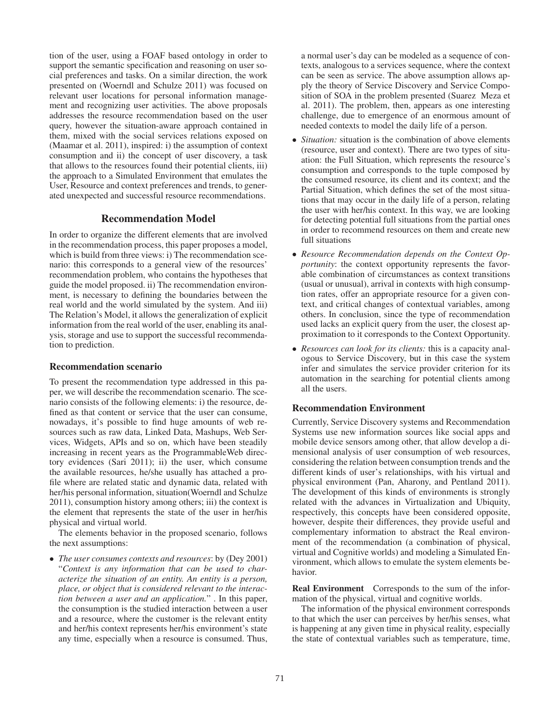tion of the user, using a FOAF based ontology in order to support the semantic specification and reasoning on user social preferences and tasks. On a similar direction, the work presented on (Woerndl and Schulze 2011) was focused on relevant user locations for personal information management and recognizing user activities. The above proposals addresses the resource recommendation based on the user query, however the situation-aware approach contained in them, mixed with the social services relations exposed on (Maamar et al. 2011), inspired: i) the assumption of context consumption and ii) the concept of user discovery, a task that allows to the resources found their potential clients, iii) the approach to a Simulated Environment that emulates the User, Resource and context preferences and trends, to generated unexpected and successful resource recommendations.

# Recommendation Model

In order to organize the different elements that are involved in the recommendation process, this paper proposes a model, which is build from three views: i) The recommendation scenario: this corresponds to a general view of the resources' recommendation problem, who contains the hypotheses that guide the model proposed. ii) The recommendation environment, is necessary to defining the boundaries between the real world and the world simulated by the system. And iii) The Relation's Model, it allows the generalization of explicit information from the real world of the user, enabling its analysis, storage and use to support the successful recommendation to prediction.

## Recommendation scenario

To present the recommendation type addressed in this paper, we will describe the recommendation scenario. The scenario consists of the following elements: i) the resource, defined as that content or service that the user can consume, nowadays, it's possible to find huge amounts of web resources such as raw data, Linked Data, Mashups, Web Services, Widgets, APIs and so on, which have been steadily increasing in recent years as the ProgrammableWeb directory evidences (Sari 2011); ii) the user, which consume the available resources, he/she usually has attached a profile where are related static and dynamic data, related with her/his personal information, situation(Woerndl and Schulze 2011), consumption history among others; iii) the context is the element that represents the state of the user in her/his physical and virtual world.

The elements behavior in the proposed scenario, follows the next assumptions:

• *The user consumes contexts and resources*: by (Dey 2001) "*Context is any information that can be used to characterize the situation of an entity. An entity is a person, place, or object that is considered relevant to the interaction between a user and an application.*" . In this paper, the consumption is the studied interaction between a user and a resource, where the customer is the relevant entity and her/his context represents her/his environment's state any time, especially when a resource is consumed. Thus, a normal user's day can be modeled as a sequence of contexts, analogous to a services sequence, where the context can be seen as service. The above assumption allows apply the theory of Service Discovery and Service Composition of SOA in the problem presented (Suarez Meza et al. 2011). The problem, then, appears as one interesting challenge, due to emergence of an enormous amount of needed contexts to model the daily life of a person.

- *Situation:* situation is the combination of above elements (resource, user and context). There are two types of situation: the Full Situation, which represents the resource's consumption and corresponds to the tuple composed by the consumed resource, its client and its context; and the Partial Situation, which defines the set of the most situations that may occur in the daily life of a person, relating the user with her/his context. In this way, we are looking for detecting potential full situations from the partial ones in order to recommend resources on them and create new full situations
- *Resource Recommendation depends on the Context Opportunity*: the context opportunity represents the favorable combination of circumstances as context transitions (usual or unusual), arrival in contexts with high consumption rates, offer an appropriate resource for a given context, and critical changes of contextual variables, among others. In conclusion, since the type of recommendation used lacks an explicit query from the user, the closest approximation to it corresponds to the Context Opportunity.
- *Resources can look for its clients:* this is a capacity analogous to Service Discovery, but in this case the system infer and simulates the service provider criterion for its automation in the searching for potential clients among all the users.

## Recommendation Environment

Currently, Service Discovery systems and Recommendation Systems use new information sources like social apps and mobile device sensors among other, that allow develop a dimensional analysis of user consumption of web resources, considering the relation between consumption trends and the different kinds of user's relationships, with his virtual and physical environment (Pan, Aharony, and Pentland 2011). The development of this kinds of environments is strongly related with the advances in Virtualization and Ubiquity, respectively, this concepts have been considered opposite, however, despite their differences, they provide useful and complementary information to abstract the Real environment of the recommendation (a combination of physical, virtual and Cognitive worlds) and modeling a Simulated Environment, which allows to emulate the system elements behavior.

Real Environment Corresponds to the sum of the information of the physical, virtual and cognitive worlds.

The information of the physical environment corresponds to that which the user can perceives by her/his senses, what is happening at any given time in physical reality, especially the state of contextual variables such as temperature, time,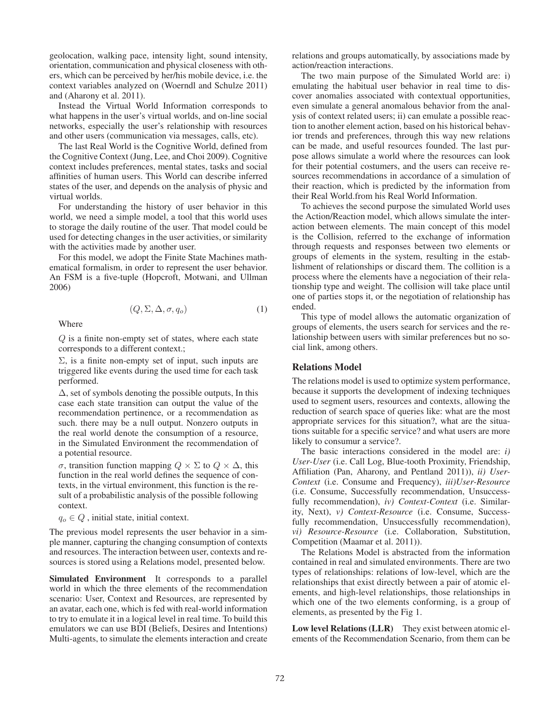geolocation, walking pace, intensity light, sound intensity, orientation, communication and physical closeness with others, which can be perceived by her/his mobile device, i.e. the context variables analyzed on (Woerndl and Schulze 2011) and (Aharony et al. 2011).

Instead the Virtual World Information corresponds to what happens in the user's virtual worlds, and on-line social networks, especially the user's relationship with resources and other users (communication via messages, calls, etc).

The last Real World is the Cognitive World, defined from the Cognitive Context (Jung, Lee, and Choi 2009). Cognitive context includes preferences, mental states, tasks and social affinities of human users. This World can describe inferred states of the user, and depends on the analysis of physic and virtual worlds.

For understanding the history of user behavior in this world, we need a simple model, a tool that this world uses to storage the daily routine of the user. That model could be used for detecting changes in the user activities, or similarity with the activities made by another user.

For this model, we adopt the Finite State Machines mathematical formalism, in order to represent the user behavior. An FSM is a five-tuple (Hopcroft, Motwani, and Ullman 2006)

$$
(Q, \Sigma, \Delta, \sigma, q_o) \tag{1}
$$

Where

Q is a finite non-empty set of states, where each state corresponds to a different context.;

 $\Sigma$ , is a finite non-empty set of input, such inputs are triggered like events during the used time for each task performed.

 $\Delta$ , set of symbols denoting the possible outputs, In this case each state transition can output the value of the recommendation pertinence, or a recommendation as such. there may be a null output. Nonzero outputs in the real world denote the consumption of a resource, in the Simulated Environment the recommendation of a potential resource.

σ, transition function mapping Q × Σ to Q × Δ, this function in the real world defines the sequence of contexts, in the virtual environment, this function is the result of a probabilistic analysis of the possible following context.

 $q_o \in Q$ , initial state, initial context.

The previous model represents the user behavior in a simple manner, capturing the changing consumption of contexts and resources. The interaction between user, contexts and resources is stored using a Relations model, presented below.

Simulated Environment It corresponds to a parallel world in which the three elements of the recommendation scenario: User, Context and Resources, are represented by an avatar, each one, which is fed with real-world information to try to emulate it in a logical level in real time. To build this emulators we can use BDI (Beliefs, Desires and Intentions) Multi-agents, to simulate the elements interaction and create

relations and groups automatically, by associations made by action/reaction interactions.

The two main purpose of the Simulated World are: i) emulating the habitual user behavior in real time to discover anomalies associated with contextual opportunities, even simulate a general anomalous behavior from the analysis of context related users; ii) can emulate a possible reaction to another element action, based on his historical behavior trends and preferences, through this way new relations can be made, and useful resources founded. The last purpose allows simulate a world where the resources can look for their potential costumers, and the users can receive resources recommendations in accordance of a simulation of their reaction, which is predicted by the information from their Real World.from his Real World Information.

To achieves the second purpose the simulated World uses the Action/Reaction model, which allows simulate the interaction between elements. The main concept of this model is the Collision, referred to the exchange of information through requests and responses between two elements or groups of elements in the system, resulting in the establishment of relationships or discard them. The collition is a process where the elements have a negociation of their relationship type and weight. The collision will take place until one of parties stops it, or the negotiation of relationship has ended.

This type of model allows the automatic organization of groups of elements, the users search for services and the relationship between users with similar preferences but no social link, among others.

## Relations Model

The relations model is used to optimize system performance, because it supports the development of indexing techniques used to segment users, resources and contexts, allowing the reduction of search space of queries like: what are the most appropriate services for this situation?, what are the situations suitable for a specific service? and what users are more likely to consumur a service?.

The basic interactions considered in the model are: *i) User-User* (i.e. Call Log, Blue-tooth Proximity, Friendship, Affiliation (Pan, Aharony, and Pentland 2011)), *ii) User-Context* (i.e. Consume and Frequency), *iii)User-Resource* (i.e. Consume, Successfully recommendation, Unsuccessfully recommendation), *iv) Context-Context* (i.e. Similarity, Next), *v) Context-Resource* (i.e. Consume, Successfully recommendation, Unsuccessfully recommendation), *vi) Resource-Resource* (i.e. Collaboration, Substitution, Competition (Maamar et al. 2011)).

The Relations Model is abstracted from the information contained in real and simulated environments. There are two types of relationships: relations of low-level, which are the relationships that exist directly between a pair of atomic elements, and high-level relationships, those relationships in which one of the two elements conforming, is a group of elements, as presented by the Fig 1.

Low level Relations (LLR) They exist between atomic elements of the Recommendation Scenario, from them can be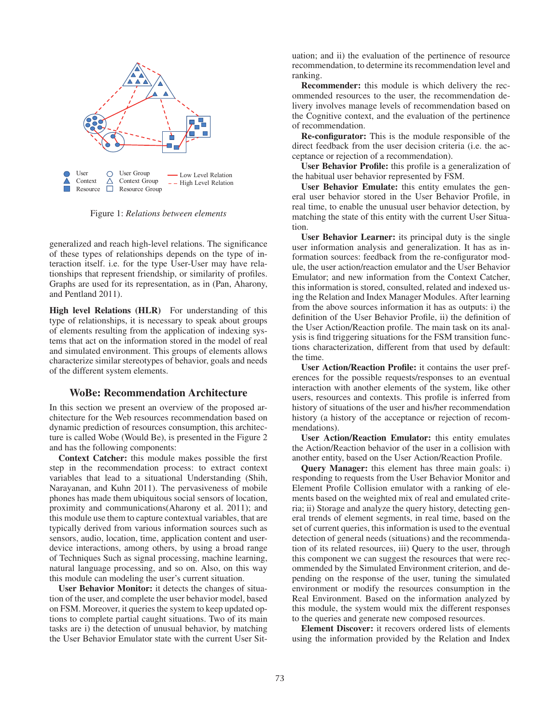

Figure 1: *Relations between elements*

generalized and reach high-level relations. The significance of these types of relationships depends on the type of interaction itself. i.e. for the type User-User may have relationships that represent friendship, or similarity of profiles. Graphs are used for its representation, as in (Pan, Aharony, and Pentland 2011).

High level Relations (HLR) For understanding of this type of relationships, it is necessary to speak about groups of elements resulting from the application of indexing systems that act on the information stored in the model of real and simulated environment. This groups of elements allows characterize similar stereotypes of behavior, goals and needs of the different system elements.

### WoBe: Recommendation Architecture

In this section we present an overview of the proposed architecture for the Web resources recommendation based on dynamic prediction of resources consumption, this architecture is called Wobe (Would Be), is presented in the Figure 2 and has the following components:

Context Catcher: this module makes possible the first step in the recommendation process: to extract context variables that lead to a situational Understanding (Shih, Narayanan, and Kuhn 2011). The pervasiveness of mobile phones has made them ubiquitous social sensors of location, proximity and communications(Aharony et al. 2011); and this module use them to capture contextual variables, that are typically derived from various information sources such as sensors, audio, location, time, application content and userdevice interactions, among others, by using a broad range of Techniques Such as signal processing, machine learning, natural language processing, and so on. Also, on this way this module can modeling the user's current situation.

User Behavior Monitor: it detects the changes of situation of the user, and complete the user behavior model, based on FSM. Moreover, it queries the system to keep updated options to complete partial caught situations. Two of its main tasks are i) the detection of unusual behavior, by matching the User Behavior Emulator state with the current User Sit-

uation; and ii) the evaluation of the pertinence of resource recommendation, to determine its recommendation level and ranking.

Recommender: this module is which delivery the recommended resources to the user, the recommendation delivery involves manage levels of recommendation based on the Cognitive context, and the evaluation of the pertinence of recommendation.

Re-configurator: This is the module responsible of the direct feedback from the user decision criteria (i.e. the acceptance or rejection of a recommendation).

User Behavior Profile: this profile is a generalization of the habitual user behavior represented by FSM.

User Behavior Emulate: this entity emulates the general user behavior stored in the User Behavior Profile, in real time, to enable the unusual user behavior detection, by matching the state of this entity with the current User Situation.

User Behavior Learner: its principal duty is the single user information analysis and generalization. It has as information sources: feedback from the re-configurator module, the user action/reaction emulator and the User Behavior Emulator; and new information from the Context Catcher, this information is stored, consulted, related and indexed using the Relation and Index Manager Modules. After learning from the above sources information it has as outputs: i) the definition of the User Behavior Profile, ii) the definition of the User Action/Reaction profile. The main task on its analysis is find triggering situations for the FSM transition functions characterization, different from that used by default: the time.

User Action/Reaction Profile: it contains the user preferences for the possible requests/responses to an eventual interaction with another elements of the system, like other users, resources and contexts. This profile is inferred from history of situations of the user and his/her recommendation history (a history of the acceptance or rejection of recommendations).

User Action/Reaction Emulator: this entity emulates the Action/Reaction behavior of the user in a collision with another entity, based on the User Action/Reaction Profile.

**Query Manager:** this element has three main goals: i) responding to requests from the User Behavior Monitor and Element Profile Collision emulator with a ranking of elements based on the weighted mix of real and emulated criteria; ii) Storage and analyze the query history, detecting general trends of element segments, in real time, based on the set of current queries, this information is used to the eventual detection of general needs (situations) and the recommendation of its related resources, iii) Query to the user, through this component we can suggest the resources that were recommended by the Simulated Environment criterion, and depending on the response of the user, tuning the simulated environment or modify the resources consumption in the Real Environment. Based on the information analyzed by this module, the system would mix the different responses to the queries and generate new composed resources.

Element Discover: it recovers ordered lists of elements using the information provided by the Relation and Index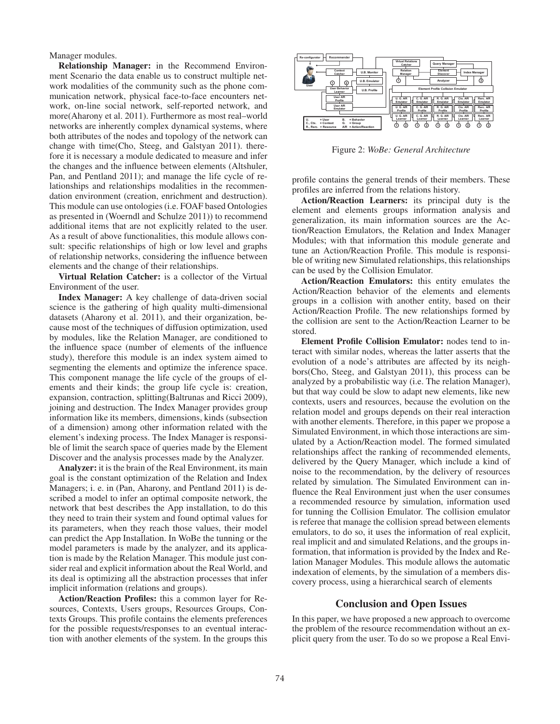Manager modules.

Relationship Manager: in the Recommend Environment Scenario the data enable us to construct multiple network modalities of the community such as the phone communication network, physical face-to-face encounters network, on-line social network, self-reported network, and more(Aharony et al. 2011). Furthermore as most real–world networks are inherently complex dynamical systems, where both attributes of the nodes and topology of the network can change with time(Cho, Steeg, and Galstyan 2011). therefore it is necessary a module dedicated to measure and infer the changes and the influence between elements (Altshuler, Pan, and Pentland 2011); and manage the life cycle of relationships and relationships modalities in the recommendation environment (creation, enrichment and destruction). This module can use ontologies (i.e. FOAF based Ontologies as presented in (Woerndl and Schulze 2011)) to recommend additional items that are not explicitly related to the user. As a result of above functionalities, this module allows consult: specific relationships of high or low level and graphs of relationship networks, considering the influence between elements and the change of their relationships.

Virtual Relation Catcher: is a collector of the Virtual Environment of the user.

Index Manager: A key challenge of data-driven social science is the gathering of high quality multi-dimensional datasets (Aharony et al. 2011), and their organization, because most of the techniques of diffusion optimization, used by modules, like the Relation Manager, are conditioned to the influence space (number of elements of the influence study), therefore this module is an index system aimed to segmenting the elements and optimize the inference space. This component manage the life cycle of the groups of elements and their kinds; the group life cycle is: creation, expansion, contraction, splitting(Baltrunas and Ricci 2009), joining and destruction. The Index Manager provides group information like its members, dimensions, kinds (subsection of a dimension) among other information related with the element's indexing process. The Index Manager is responsible of limit the search space of queries made by the Element Discover and the analysis processes made by the Analyzer.

Analyzer: it is the brain of the Real Environment, its main goal is the constant optimization of the Relation and Index Managers; i. e. in (Pan, Aharony, and Pentland 2011) is described a model to infer an optimal composite network, the network that best describes the App installation, to do this they need to train their system and found optimal values for its parameters, when they reach those values, their model can predict the App Installation. In WoBe the tunning or the model parameters is made by the analyzer, and its application is made by the Relation Manager. This module just consider real and explicit information about the Real World, and its deal is optimizing all the abstraction processes that infer implicit information (relations and groups).

Action/Reaction Profiles: this a common layer for Resources, Contexts, Users groups, Resources Groups, Contexts Groups. This profile contains the elements preferences for the possible requests/responses to an eventual interaction with another elements of the system. In the groups this



Figure 2: *WoBe: General Architecture*

profile contains the general trends of their members. These profiles are inferred from the relations history.

Action/Reaction Learners: its principal duty is the element and elements groups information analysis and generalization, its main information sources are the Action/Reaction Emulators, the Relation and Index Manager Modules; with that information this module generate and tune an Action/Reaction Profile. This module is responsible of writing new Simulated relationships, this relationships can be used by the Collision Emulator.

Action/Reaction Emulators: this entity emulates the Action/Reaction behavior of the elements and elements groups in a collision with another entity, based on their Action/Reaction Profile. The new relationships formed by the collision are sent to the Action/Reaction Learner to be stored.

Element Profile Collision Emulator: nodes tend to interact with similar nodes, whereas the latter asserts that the evolution of a node's attributes are affected by its neighbors(Cho, Steeg, and Galstyan 2011), this process can be analyzed by a probabilistic way (i.e. The relation Manager), but that way could be slow to adapt new elements, like new contexts, users and resources, because the evolution on the relation model and groups depends on their real interaction with another elements. Therefore, in this paper we propose a Simulated Environment, in which those interactions are simulated by a Action/Reaction model. The formed simulated relationships affect the ranking of recommended elements, delivered by the Query Manager, which include a kind of noise to the recommendation, by the delivery of resources related by simulation. The Simulated Environment can influence the Real Environment just when the user consumes a recommended resource by simulation, information used for tunning the Collision Emulator. The collision emulator is referee that manage the collision spread between elements emulators, to do so, it uses the information of real explicit, real implicit and and simulated Relations, and the groups information, that information is provided by the Index and Relation Manager Modules. This module allows the automatic indexation of elements, by the simulation of a members discovery process, using a hierarchical search of elements

#### Conclusion and Open Issues

In this paper, we have proposed a new approach to overcome the problem of the resource recommendation without an explicit query from the user. To do so we propose a Real Envi